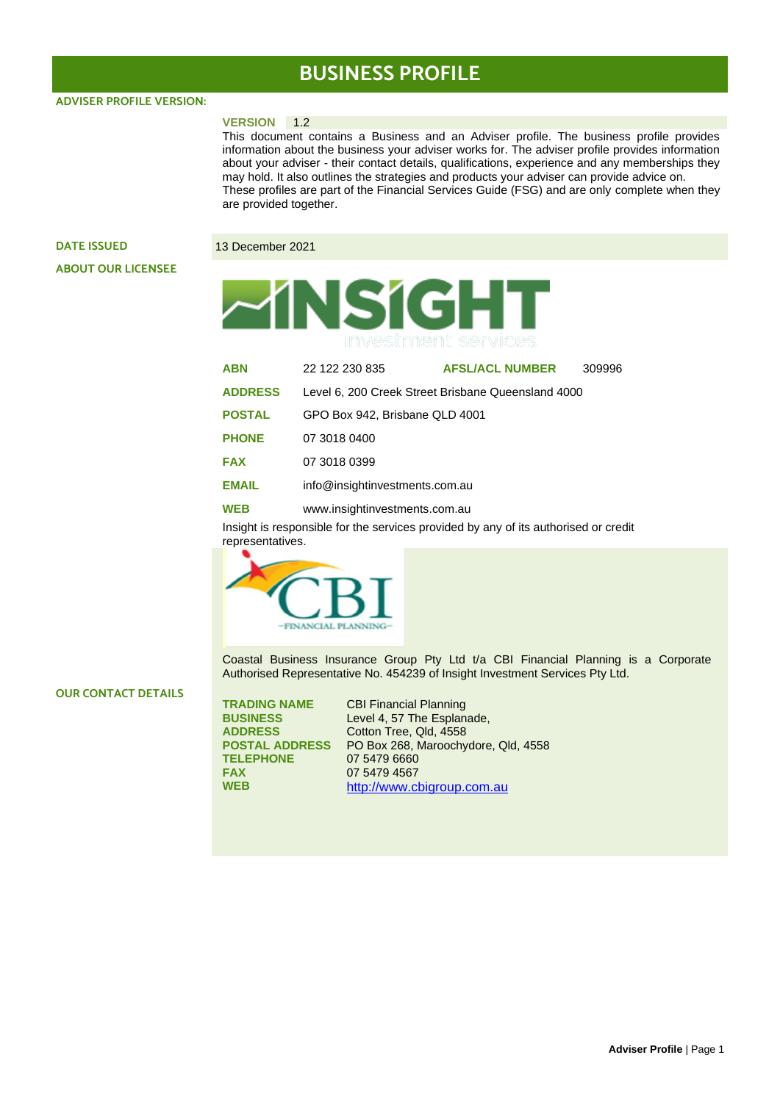# **BUSINESS PROFILE**

**ADVISER PROFILE VERSION:** 

#### **VERSION** 1.2

This document contains a Business and an Adviser profile. The business profile provides information about the business your adviser works for. The adviser profile provides information about your adviser - their contact details, qualifications, experience and any memberships they may hold. It also outlines the strategies and products your adviser can provide advice on. These profiles are part of the Financial Services Guide (FSG) and are only complete when they are provided together.

## **DATE ISSUED** 13 December 2021 **ABOUT OUR LICENSEE**



| <b>ABN</b>     | 22 122 230 835                                     | <b>AFSL/ACL NUMBER</b> | 309996 |  |  |
|----------------|----------------------------------------------------|------------------------|--------|--|--|
| <b>ADDRESS</b> | Level 6, 200 Creek Street Brisbane Queensland 4000 |                        |        |  |  |
| <b>POSTAL</b>  | GPO Box 942, Brisbane QLD 4001                     |                        |        |  |  |
| <b>PHONE</b>   | 07 3018 0400                                       |                        |        |  |  |
| <b>FAX</b>     | 07 3018 0399                                       |                        |        |  |  |
| <b>EMAIL</b>   | info@insightinvestments.com.au                     |                        |        |  |  |
| WEB            | www.insightinvestments.com.au                      |                        |        |  |  |

Insight is responsible for the services provided by any of its authorised or credit representatives.



Coastal Business Insurance Group Pty Ltd t/a CBI Financial Planning is a Corporate Authorised Representative No. 454239 of Insight Investment Services Pty Ltd.

#### **OUR CONTACT DETAILS**

| <b>TRADING NAME</b>   | <b>CBI Financial Planning</b>       |
|-----------------------|-------------------------------------|
| <b>BUSINESS</b>       | Level 4, 57 The Esplanade,          |
| <b>ADDRESS</b>        | Cotton Tree, Qld, 4558              |
| <b>POSTAL ADDRESS</b> | PO Box 268, Maroochydore, Qld, 4558 |
| <b>TELEPHONE</b>      | 07 5479 6660                        |
| <b>FAX</b>            | 07 5479 4567                        |
| <b>WEB</b>            | http://www.cbigroup.com.au          |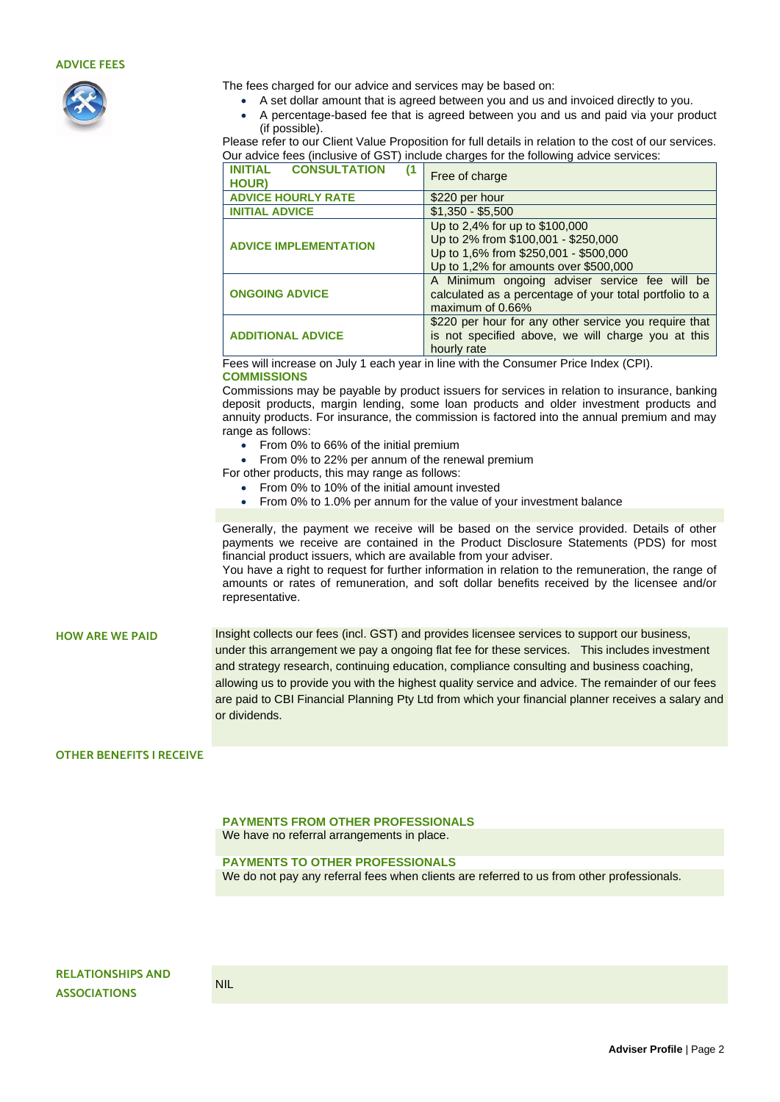### **ADVICE FEES**



The fees charged for our advice and services may be based on:

- A set dollar amount that is agreed between you and us and invoiced directly to you.
- A percentage-based fee that is agreed between you and us and paid via your product (if possible).

Please refer to our Client Value Proposition for full details in relation to the cost of our services. Our advice fees (inclusive of GST) include charges for the following advice services:

| <b>INITIAL</b><br><b>CONSULTATION</b><br>(1<br><b>HOUR)</b> | Free of charge                                          |  |
|-------------------------------------------------------------|---------------------------------------------------------|--|
| <b>ADVICE HOURLY RATE</b>                                   | \$220 per hour                                          |  |
| <b>INITIAL ADVICE</b>                                       | $$1,350 - $5,500$                                       |  |
|                                                             | Up to 2,4% for up to \$100,000                          |  |
| <b>ADVICE IMPLEMENTATION</b>                                | Up to 2% from \$100,001 - \$250,000                     |  |
|                                                             | Up to 1,6% from \$250,001 - \$500,000                   |  |
|                                                             | Up to 1,2% for amounts over \$500,000                   |  |
|                                                             | A Minimum ongoing adviser service fee will be           |  |
| <b>ONGOING ADVICE</b>                                       | calculated as a percentage of your total portfolio to a |  |
|                                                             | maximum of 0.66%                                        |  |
|                                                             | \$220 per hour for any other service you require that   |  |
| <b>ADDITIONAL ADVICE</b>                                    | is not specified above, we will charge you at this      |  |
|                                                             | hourly rate                                             |  |

Fees will increase on July 1 each year in line with the Consumer Price Index (CPI). **COMMISSIONS**

Commissions may be payable by product issuers for services in relation to insurance, banking deposit products, margin lending, some loan products and older investment products and annuity products. For insurance, the commission is factored into the annual premium and may range as follows:

• From 0% to 66% of the initial premium

• From 0% to 22% per annum of the renewal premium

- For other products, this may range as follows:
	- From 0% to 10% of the initial amount invested
	- From 0% to 1.0% per annum for the value of your investment balance

Generally, the payment we receive will be based on the service provided. Details of other payments we receive are contained in the Product Disclosure Statements (PDS) for most financial product issuers, which are available from your adviser.

You have a right to request for further information in relation to the remuneration, the range of amounts or rates of remuneration, and soft dollar benefits received by the licensee and/or representative.

**HOW ARE WE PAID** Insight collects our fees (incl. GST) and provides licensee services to support our business, under this arrangement we pay a ongoing flat fee for these services. This includes investment and strategy research, continuing education, compliance consulting and business coaching, allowing us to provide you with the highest quality service and advice. The remainder of our fees are paid to CBI Financial Planning Pty Ltd from which your financial planner receives a salary and or dividends.

#### **OTHER BENEFITS I RECEIVE**

**PAYMENTS FROM OTHER PROFESSIONALS** 

We have no referral arrangements in place.

#### **PAYMENTS TO OTHER PROFESSIONALS**

We do not pay any referral fees when clients are referred to us from other professionals.

**RELATIONSHIPS AND ASSOCIATIONS**